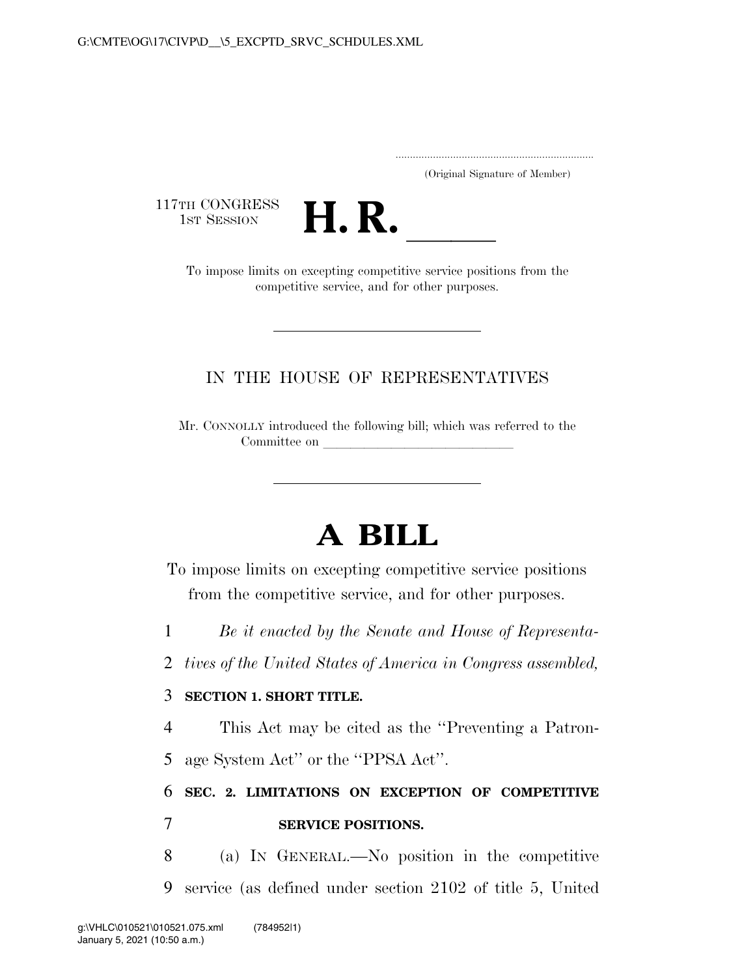..................................................................... (Original Signature of Member)

117TH CONGRESS<br>1st Session



TH CONGRESS<br>1st SESSION **H. R. I. B. A. I. B. A. I. B. A. S. A. A. A. A. A. A. A. A. A. A. To impose limits on excepting competitive service positions from the** competitive service, and for other purposes.

## IN THE HOUSE OF REPRESENTATIVES

Mr. CONNOLLY introduced the following bill; which was referred to the Committee on

## **A BILL**

To impose limits on excepting competitive service positions from the competitive service, and for other purposes.

1 *Be it enacted by the Senate and House of Representa-*

2 *tives of the United States of America in Congress assembled,* 

## 3 **SECTION 1. SHORT TITLE.**

4 This Act may be cited as the ''Preventing a Patron-5 age System Act'' or the ''PPSA Act''.

## 6 **SEC. 2. LIMITATIONS ON EXCEPTION OF COMPETITIVE**  7 **SERVICE POSITIONS.**

8 (a) IN GENERAL.—No position in the competitive 9 service (as defined under section 2102 of title 5, United